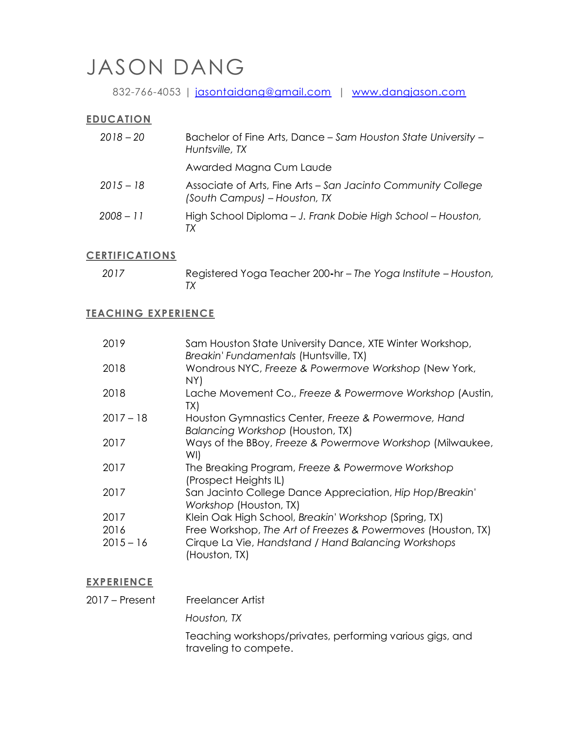# JASON DANG

832-766-4053 | [jasontaidang@gmail.com](mailto:jasontaidang@gmail.com) | [www.dangjason.com](https://www.dangjason.com/)

#### **EDUCATION**

| $2018 - 20$ | Bachelor of Fine Arts, Dance - Sam Houston State University -<br>Huntsville, TX              |
|-------------|----------------------------------------------------------------------------------------------|
|             | Awarded Magna Cum Laude                                                                      |
| $2015 - 18$ | Associate of Arts, Fine Arts - San Jacinto Community College<br>(South Campus) - Houston, TX |
| $2008 - 11$ | High School Diploma - J. Frank Dobie High School - Houston,<br>ТX                            |

# **CERTIFICATIONS**

| 2017 | Registered Yoga Teacher 200-hr-The Yoga Institute - Houston, |
|------|--------------------------------------------------------------|
|      |                                                              |

#### **TEACHING EXPERIENCE**

| 2019        | Sam Houston State University Dance, XTE Winter Workshop,<br>Breakin' Fundamentals (Huntsville, TX) |
|-------------|----------------------------------------------------------------------------------------------------|
| 2018        | Wondrous NYC, Freeze & Powermove Workshop (New York,<br>NY)                                        |
| 2018        | Lache Movement Co., Freeze & Powermove Workshop (Austin,<br>TX)                                    |
| $2017 - 18$ | Houston Gymnastics Center, Freeze & Powermove, Hand<br>Balancing Workshop (Houston, TX)            |
| 2017        | Ways of the BBoy, Freeze & Powermove Workshop (Milwaukee,<br>WI)                                   |
| 2017        | The Breaking Program, Freeze & Powermove Workshop<br>(Prospect Heights IL)                         |
| 2017        | San Jacinto College Dance Appreciation, Hip Hop/Breakin'<br>Workshop (Houston, TX)                 |
| 2017        | Klein Oak High School, Breakin' Workshop (Spring, TX)                                              |
| 2016        | Free Workshop, The Art of Freezes & Powermoves (Houston, TX)                                       |
| $2015 - 16$ | Cirque La Vie, Handstand / Hand Balancing Workshops<br>(Houston, TX)                               |

#### **EXPERIENCE**

2017 – Present Freelancer Artist

*Houston, TX*

Teaching workshops/privates, performing various gigs, and traveling to compete.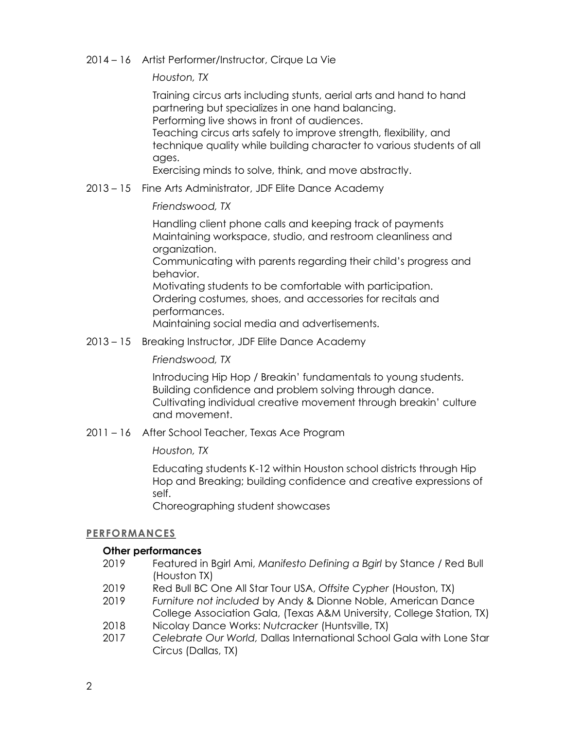### 2014 – 16 Artist Performer/Instructor, Cirque La Vie

*Houston, TX*

Training circus arts including stunts, aerial arts and hand to hand partnering but specializes in one hand balancing.

Performing live shows in front of audiences.

Teaching circus arts safely to improve strength, flexibility, and technique quality while building character to various students of all ages.

Exercising minds to solve, think, and move abstractly.

2013 – 15 Fine Arts Administrator, JDF Elite Dance Academy

## *Friendswood, TX*

Handling client phone calls and keeping track of payments Maintaining workspace, studio, and restroom cleanliness and organization.

Communicating with parents regarding their child's progress and behavior.

Motivating students to be comfortable with participation. Ordering costumes, shoes, and accessories for recitals and performances.

Maintaining social media and advertisements.

2013 – 15 Breaking Instructor, JDF Elite Dance Academy

#### *Friendswood, TX*

Introducing Hip Hop / Breakin' fundamentals to young students. Building confidence and problem solving through dance. Cultivating individual creative movement through breakin' culture and movement.

2011 – 16After School Teacher, Texas Ace Program

#### *Houston, TX*

Educating students K-12 within Houston school districts through Hip Hop and Breaking; building confidence and creative expressions of self.

Choreographing student showcases

#### **PERFORMANCES**

#### **Other performances**

- 2019 Featured in Bgirl Ami, *Manifesto Defining a Bgirl* by Stance / Red Bull (Houston TX)
- 2019 Red Bull BC One All Star Tour USA, *Offsite Cypher* (Houston, TX)
- 2019 *Furniture not included* by Andy & Dionne Noble, American Dance College Association Gala, (Texas A&M University, College Station, TX)
- 2018 Nicolay Dance Works: *Nutcracker* (Huntsville, TX)
- 2017 *Celebrate Our World,* Dallas International School Gala with Lone Star Circus (Dallas, TX)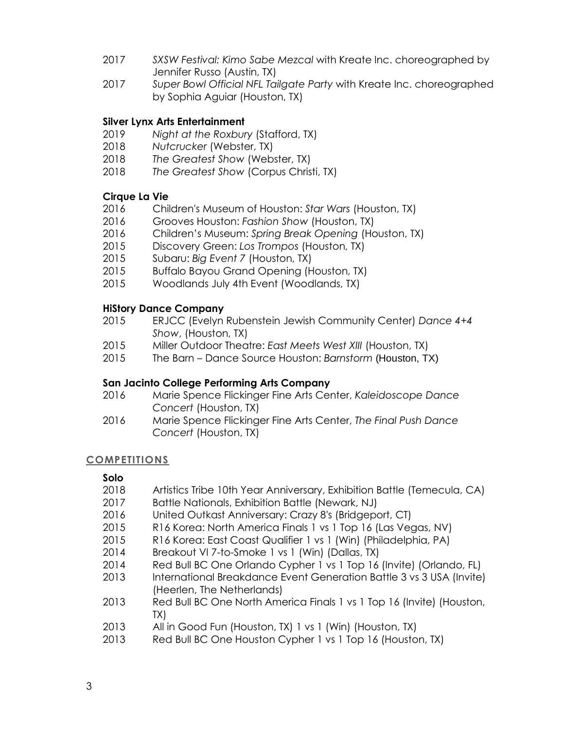- 2017 *SXSW Festival: Kimo Sabe Mezcal* with Kreate Inc. choreographed by Jennifer Russo (Austin, TX)
- 2017 *Super Bowl Official NFL Tailgate Party* with Kreate Inc. choreographed by Sophia Aguiar (Houston, TX)

### **Silver Lynx Arts Entertainment**

- 2019 *Night at the Roxbury* (Stafford, TX)
- 2018 *Nutcrucker* (Webster, TX)
- 2018 *The Greatest Show* (Webster, TX)
- 2018 *The Greatest Show* (Corpus Christi, TX)

## **Cirque La Vie**

- 2016 Children's Museum of Houston: *Star Wars* (Houston, TX)
- 2016 Grooves Houston: *Fashion Show* (Houston, TX)
- 2016 Children's Museum: *Spring Break Opening* (Houston, TX)
- 2015 Discovery Green: *Los Trompos* (Houston, TX)
- 2015 Subaru: *Big Event 7* (Houston, TX)
- 2015 Buffalo Bayou Grand Opening (Houston, TX)
- 2015 Woodlands July 4th Event (Woodlands, TX)

## **HiStory Dance Company**

- 2015 ERJCC (Evelyn Rubenstein Jewish Community Center) *Dance 4+4 Show*, (Houston, TX)
- 2015 Miller Outdoor Theatre: *East Meets West XIII* (Houston, TX)
- 2015 The Barn Dance Source Houston: *Barnstorm* (Houston, TX)

#### **San Jacinto College Performing Arts Company**

- 2016 Marie Spence Flickinger Fine Arts Center, *Kaleidoscope Dance Concert* (Houston, TX)
- 2016 Marie Spence Flickinger Fine Arts Center, *The Final Push Dance Concert* (Houston, TX)

#### **COMPETITIONS**

# **Solo**

- 2018 Artistics Tribe 10th Year Anniversary, Exhibition Battle (Temecula, CA)
- 2017 Battle Nationals, Exhibition Battle (Newark, NJ)
- 2016 United Outkast Anniversary: Crazy 8's (Bridgeport, CT)
- 2015 R16 Korea: North America Finals 1 vs 1 Top 16 (Las Vegas, NV)
- 2015 R16 Korea: East Coast Qualifier 1 vs 1 (Win) (Philadelphia, PA)
- 2014 Breakout VI 7-to-Smoke 1 vs 1 (Win) (Dallas, TX)
- 2014 Red Bull BC One Orlando Cypher 1 vs 1 Top 16 (Invite) (Orlando, FL)
- 2013 International Breakdance Event Generation Battle 3 vs 3 USA (Invite) (Heerlen, The Netherlands)
- 2013 Red Bull BC One North America Finals 1 vs 1 Top 16 (Invite) (Houston, TX)
- 2013 All in Good Fun (Houston, TX) 1 vs 1 (Win) (Houston, TX)
- 2013 Red Bull BC One Houston Cypher 1 vs 1 Top 16 (Houston, TX)